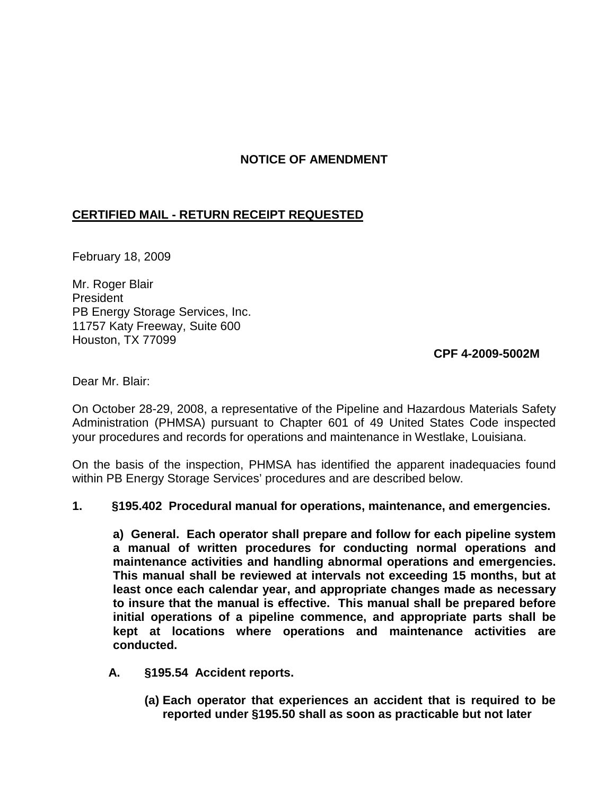# **NOTICE OF AMENDMENT**

## **CERTIFIED MAIL - RETURN RECEIPT REQUESTED**

February 18, 2009

Mr. Roger Blair President PB Energy Storage Services, Inc. 11757 Katy Freeway, Suite 600 Houston, TX 77099

### **CPF 4-2009-5002M**

Dear Mr. Blair:

On October 28-29, 2008, a representative of the Pipeline and Hazardous Materials Safety Administration (PHMSA) pursuant to Chapter 601 of 49 United States Code inspected your procedures and records for operations and maintenance in Westlake, Louisiana.

On the basis of the inspection, PHMSA has identified the apparent inadequacies found within PB Energy Storage Services' procedures and are described below.

#### **1. §195.402 Procedural manual for operations, maintenance, and emergencies.**

**a) General. Each operator shall prepare and follow for each pipeline system a manual of written procedures for conducting normal operations and maintenance activities and handling abnormal operations and emergencies. This manual shall be reviewed at intervals not exceeding 15 months, but at least once each calendar year, and appropriate changes made as necessary to insure that the manual is effective. This manual shall be prepared before initial operations of a pipeline commence, and appropriate parts shall be kept at locations where operations and maintenance activities are conducted.**

- **A. §195.54 Accident reports.**
	- **(a) Each operator that experiences an accident that is required to be reported under §195.50 shall as soon as practicable but not later**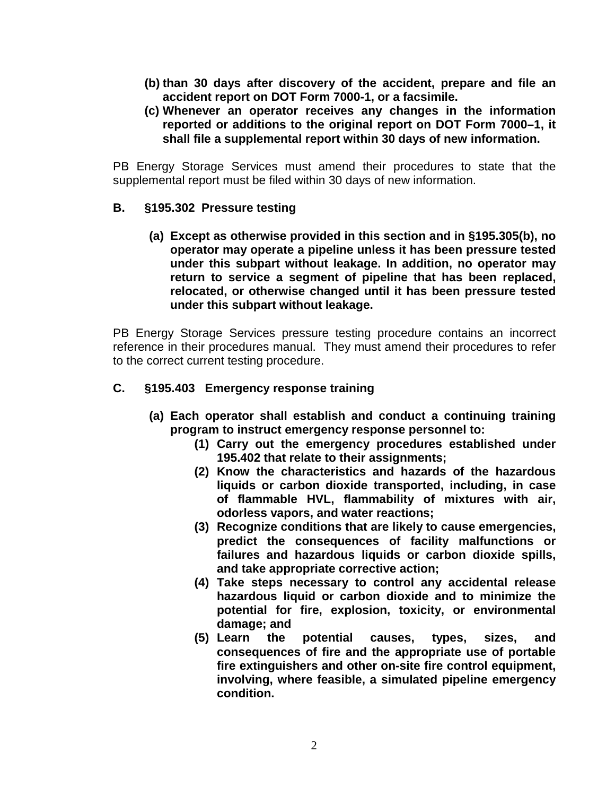- **(b) than 30 days after discovery of the accident, prepare and file an accident report on DOT Form 7000-1, or a facsimile.**
- **(c) Whenever an operator receives any changes in the information reported or additions to the original report on DOT Form 7000–1, it shall file a supplemental report within 30 days of new information.**

PB Energy Storage Services must amend their procedures to state that the supplemental report must be filed within 30 days of new information.

## **B. §195.302 Pressure testing**

**(a) Except as otherwise provided in this section and in §195.305(b), no operator may operate a pipeline unless it has been pressure tested under this subpart without leakage. In addition, no operator may return to service a segment of pipeline that has been replaced, relocated, or otherwise changed until it has been pressure tested under this subpart without leakage.**

PB Energy Storage Services pressure testing procedure contains an incorrect reference in their procedures manual. They must amend their procedures to refer to the correct current testing procedure.

# **C. §195.403 Emergency response training**

- **(a) Each operator shall establish and conduct a continuing training program to instruct emergency response personnel to:**
	- **(1) Carry out the emergency procedures established under 195.402 that relate to their assignments;**
	- **(2) Know the characteristics and hazards of the hazardous liquids or carbon dioxide transported, including, in case of flammable HVL, flammability of mixtures with air, odorless vapors, and water reactions;**
	- **(3) Recognize conditions that are likely to cause emergencies, predict the consequences of facility malfunctions or failures and hazardous liquids or carbon dioxide spills, and take appropriate corrective action;**
	- **(4) Take steps necessary to control any accidental release hazardous liquid or carbon dioxide and to minimize the potential for fire, explosion, toxicity, or environmental damage; and**
	- **(5) Learn the potential causes, types, sizes, and consequences of fire and the appropriate use of portable fire extinguishers and other on-site fire control equipment, involving, where feasible, a simulated pipeline emergency condition.**